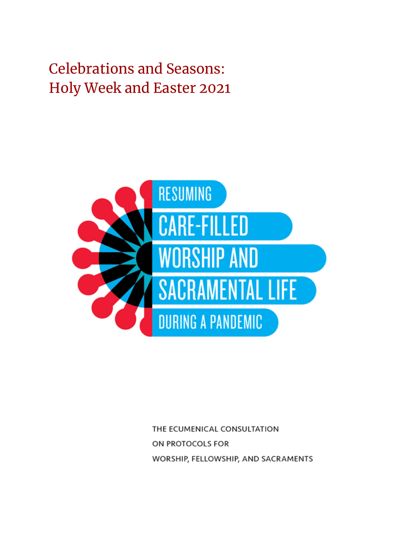

THE ECUMENICAL CONSULTATION ON PROTOCOLS FOR WORSHIP, FELLOWSHIP, AND SACRAMENTS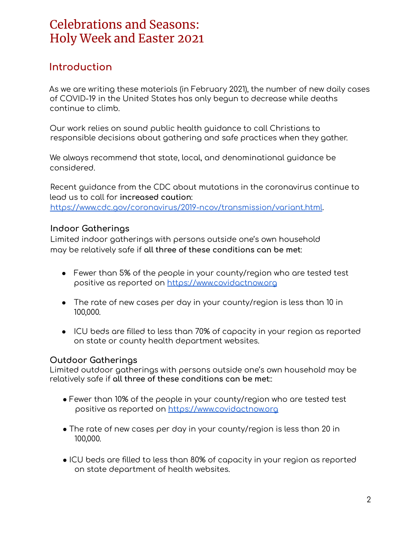#### **Introduction**

As we are writing these materials (in February 2021), the number of new daily cases of COVID-19 in the United States has only begun to decrease while deaths continue to climb.

Our work relies on sound public health guidance to call Christians to responsible decisions about gathering and safe practices when they gather.

We always recommend that state, local, and denominational guidance be considered.

Recent guidance from the CDC about mutations in the coronavirus continue to lead us to call for **increased caution**: https://www.cdc.gov/coronavirus/2019-ncov/transmission/variant.html.

#### **Indoor Gatherings**

Limited indoor gatherings with persons outside one's own household may be relatively safe if **all three of these conditions can be met**:

- Fewer than 5% of the people in your county/region who are tested test positive as reported on <https://www.covidactnow.org>
- The rate of new cases per day in your county/region is less than 10 in 100,000.
- ICU beds are filled to less than 70% of capacity in your region as reported on state or county health department websites.

#### **Outdoor Gatherings**

Limited outdoor gatherings with persons outside one's own household may be relatively safe if **all three of these conditions can be met**::

- Fewer than 10% of the people in your county/region who are tested test positive as reported on https://www.covidactnow.org
- The rate of new cases per day in your county/region is less than 20 in 100,000.
- ICU beds are filled to less than 80% of capacity in your region as reported on state department of health websites.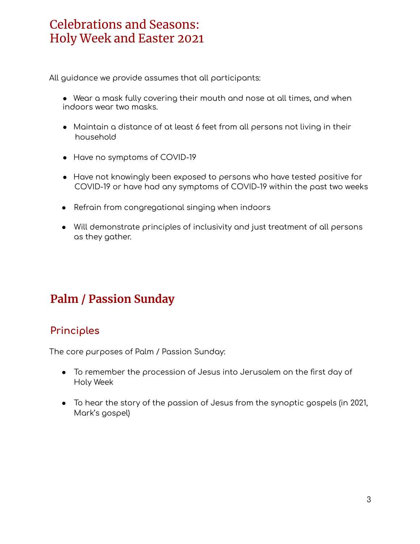All guidance we provide assumes that all participants:

- Wear a mask fully covering their mouth and nose at all times, and when indoors wear two masks.
- Maintain a distance of at least 6 feet from all persons not living in their household
- Have no symptoms of COVID-19
- Have not knowingly been exposed to persons who have tested positive for COVID-19 or have had any symptoms of COVID-19 within the past two weeks
- Refrain from congregational singing when indoors
- Will demonstrate principles of inclusivity and just treatment of all persons as they gather.

## **Palm / Passion Sunday**

#### **Principles**

The core purposes of Palm / Passion Sunday:

- To remember the procession of Jesus into Jerusalem on the first day of Holy Week
- To hear the story of the passion of Jesus from the synoptic gospels (in 2021, Mark's gospel)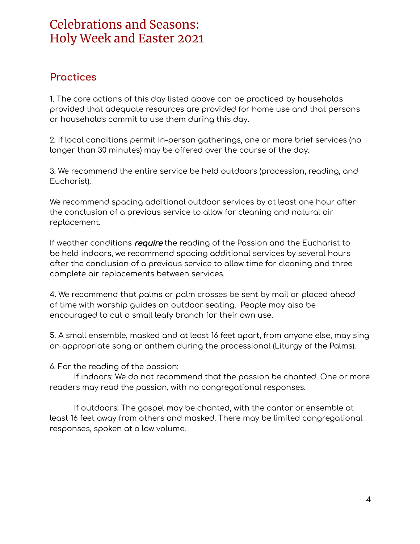#### **Practices**

1. The core actions of this day listed above can be practiced by households provided that adequate resources are provided for home use and that persons or households commit to use them during this day.

2. If local conditions permit in-person gatherings, one or more brief services (no longer than 30 minutes) may be offered over the course of the day.

3. We recommend the entire service be held outdoors (procession, reading, and Eucharist).

We recommend spacing additional outdoor services by at least one hour after the conclusion of a previous service to allow for cleaning and natural air replacement.

If weather conditions require the reading of the Passion and the Eucharist to be held indoors, we recommend spacing additional services by several hours after the conclusion of a previous service to allow time for cleaning and three complete air replacements between services.

4. We recommend that palms or palm crosses be sent by mail or placed ahead of time with worship guides on outdoor seating. People may also be encouraged to cut a small leafy branch for their own use.

5. A small ensemble, masked and at least 16 feet apart, from anyone else, may sing an appropriate song or anthem during the processional (Liturgy of the Palms).

6. For the reading of the passion:

If indoors: We do not recommend that the passion be chanted. One or more readers may read the passion, with no congregational responses.

If outdoors: The gospel may be chanted, with the cantor or ensemble at least 16 feet away from others and masked. There may be limited congregational responses, spoken at a low volume.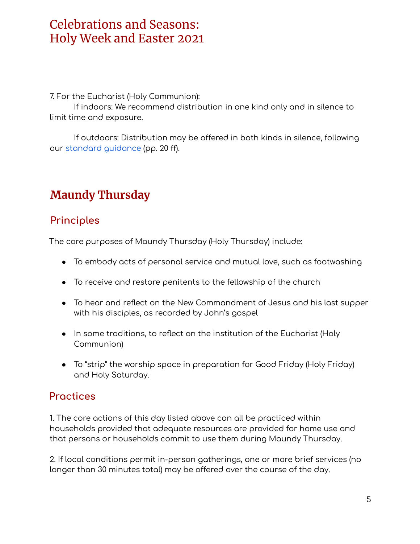7. For the Eucharist (Holy Communion):

If indoors: We recommend distribution in one kind only and in silence to limit time and exposure.

If outdoors: Distribution may be offered in both kinds in silence, following our standard [guidance](https://www.ministrymatters.com/files/862/Resuming%20Care-filled%20Worship%20and%20Sacramental%20Life.pdf) (pp. 20 ff).

## **Maundy Thursday**

#### **Principles**

The core purposes of Maundy Thursday (Holy Thursday) include:

- To embody acts of personal service and mutual love, such as footwashing
- To receive and restore penitents to the fellowship of the church
- To hear and reflect on the New Commandment of Jesus and his last supper with his disciples, as recorded by John's gospel
- In some traditions, to reflect on the institution of the Eucharist (Holy Communion)
- To "strip" the worship space in preparation for Good Friday (Holy Friday) and Holy Saturday.

#### **Practices**

1. The core actions of this day listed above can all be practiced within households provided that adequate resources are provided for home use and that persons or households commit to use them during Maundy Thursday.

2. If local conditions permit in-person gatherings, one or more brief services (no longer than 30 minutes total) may be offered over the course of the day.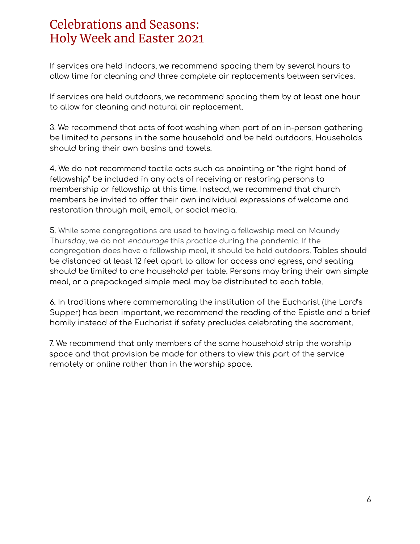If services are held indoors, we recommend spacing them by several hours to allow time for cleaning and three complete air replacements between services.

If services are held outdoors, we recommend spacing them by at least one hour to allow for cleaning and natural air replacement.

3. We recommend that acts of foot washing when part of an in-person gathering be limited to persons in the same household and be held outdoors. Households should bring their own basins and towels.

4. We do not recommend tactile acts such as anointing or "the right hand of fellowship" be included in any acts of receiving or restoring persons to membership or fellowship at this time. Instead, we recommend that church members be invited to offer their own individual expressions of welcome and restoration through mail, email, or social media.

5. While some congregations are used to having a fellowship meal on Maundy Thursday, we do not encourage this practice during the pandemic. If the congregation does have a fellowship meal, it should be held outdoors. Tables should be distanced at least 12 feet apart to allow for access and egress, and seating should be limited to one household per table. Persons may bring their own simple meal, or a prepackaged simple meal may be distributed to each table.

6. In traditions where commemorating the institution of the Eucharist (the Lord's Supper) has been important, we recommend the reading of the Epistle and a brief homily instead of the Eucharist if safety precludes celebrating the sacrament.

7. We recommend that only members of the same household strip the worship space and that provision be made for others to view this part of the service remotely or online rather than in the worship space.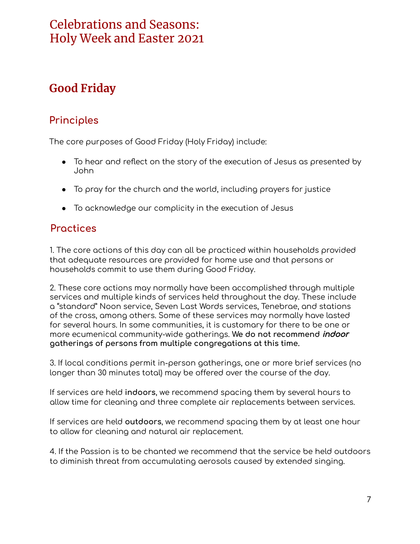## **Good Friday**

#### **Principles**

The core purposes of Good Friday (Holy Friday) include:

- To hear and reflect on the story of the execution of Jesus as presented by John
- To pray for the church and the world, including prayers for justice
- To acknowledge our complicity in the execution of Jesus

#### **Practices**

1. The core actions of this day can all be practiced within households provided that adequate resources are provided for home use and that persons or households commit to use them during Good Friday.

2. These core actions may normally have been accomplished through multiple services and multiple kinds of services held throughout the day. These include a "standard" Noon service, Seven Last Words services, Tenebrae, and stations of the cross, among others. Some of these services may normally have lasted for several hours. In some communities, it is customary for there to be one or more ecumenical community-wide gatherings. **We do not recommend** indoor **gatherings of persons from multiple congregations at this time.**

3. If local conditions permit in-person gatherings, one or more brief services (no longer than 30 minutes total) may be offered over the course of the day.

If services are held **indoors**, we recommend spacing them by several hours to allow time for cleaning and three complete air replacements between services.

If services are held **outdoors**, we recommend spacing them by at least one hour to allow for cleaning and natural air replacement.

4. If the Passion is to be chanted we recommend that the service be held outdoors to diminish threat from accumulating aerosols caused by extended singing.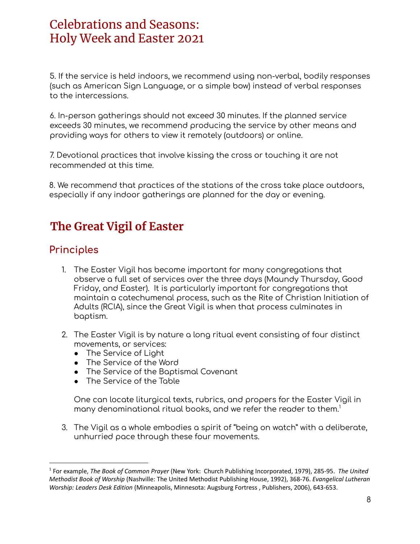5. If the service is held indoors, we recommend using non-verbal, bodily responses (such as American Sign Language, or a simple bow) instead of verbal responses to the intercessions.

6. In-person gatherings should not exceed 30 minutes. If the planned service exceeds 30 minutes, we recommend producing the service by other means and providing ways for others to view it remotely (outdoors) or online.

7. Devotional practices that involve kissing the cross or touching it are not recommended at this time.

8. We recommend that practices of the stations of the cross take place outdoors, especially if any indoor gatherings are planned for the day or evening.

## **The Great Vigil of Easter**

#### **Principles**

- 1. The Easter Vigil has become important for many congregations that observe a full set of services over the three days (Maundy Thursday, Good Friday, and Easter). It is particularly important for congregations that maintain a catechumenal process, such as the Rite of Christian Initiation of Adults (RCIA), since the Great Vigil is when that process culminates in baptism.
- 2. The Easter Vigil is by nature a long ritual event consisting of four distinct movements, or services:
	- The Service of Light
	- The Service of the Word
	- The Service of the Baptismal Covenant
	- The Service of the Table

One can locate liturgical texts, rubrics, and propers for the Easter Vigil in many denominational ritual books, and we refer the reader to them. 1

3. The Vigil as a whole embodies a spirit of "being on watch" with a deliberate, unhurried pace through these four movements.

<sup>1</sup> For example, *The Book of Common Prayer* (New York: Church Publishing Incorporated, 1979), 285-95. *The United Methodist Book of Worship* (Nashville: The United Methodist Publishing House, 1992), 368-76. *Evangelical Lutheran Worship: Leaders Desk Edition* (Minneapolis, Minnesota: Augsburg Fortress , Publishers, 2006), 643-653.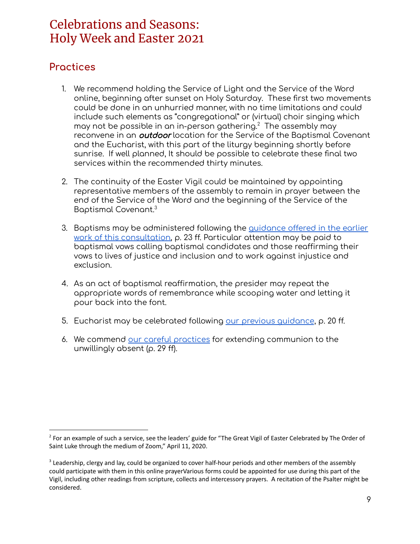#### **Practices**

- 1. We recommend holding the Service of Light and the Service of the Word online, beginning after sunset on Holy Saturday. These first two movements could be done in an unhurried manner, with no time limitations and could include such elements as "congregational" or (virtual) choir singing which may not be possible in an in-person gathering. $2$  The assembly may reconvene in an **outdoor** location for the Service of the Baptismal Covenant and the Eucharist, with this part of the liturgy beginning shortly before sunrise. If well planned, It should be possible to celebrate these final two services within the recommended thirty minutes.
- 2. The continuity of the Easter Vigil could be maintained by appointing representative members of the assembly to remain in prayer between the end of the Service of the Word and the beginning of the Service of the Baptismal Covenant. 3
- 3. Baptisms may be administered following the [guidance](https://www.ministrymatters.com/all/entry/10369/resuming-care-filled-worship-and-sacramental-life-during-a-pandemic) offered in the earlier work of this [consultation,](https://www.ministrymatters.com/all/entry/10369/resuming-care-filled-worship-and-sacramental-life-during-a-pandemic) p. 23 ff. Particular attention may be paid to baptismal vows calling baptismal candidates and those reaffirming their vows to lives of justice and inclusion and to work against injustice and exclusion.
- 4. As an act of baptismal reaffirmation, the presider may repeat the appropriate words of remembrance while scooping water and letting it pour back into the font.
- 5. Eucharist may be celebrated following our previous [guidance](https://www.ministrymatters.com/all/entry/10369/resuming-care-filled-worship-and-sacramental-life-during-a-pandemic), p. 20 ff.
- 6. We commend our careful [practices](https://www.ministrymatters.com/all/entry/10369/resuming-care-filled-worship-and-sacramental-life-during-a-pandemic) for extending communion to the unwillingly absent (p. 29 ff).

<sup>&</sup>lt;sup>2</sup> For an example of such a service, see the leaders' guide for "The Great Vigil of Easter Celebrated by The Order of Saint Luke through the medium of Zoom," April 11, 2020.

<sup>&</sup>lt;sup>3</sup> Leadership, clergy and lay, could be organized to cover half-hour periods and other members of the assembly could participate with them in this online prayerVarious forms could be appointed for use during this part of the Vigil, including other readings from scripture, collects and intercessory prayers. A recitation of the Psalter might be considered.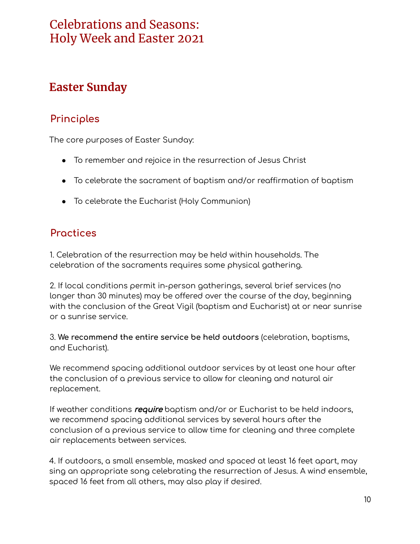## **Easter Sunday**

#### **Principles**

The core purposes of Easter Sunday:

- To remember and rejoice in the resurrection of Jesus Christ
- To celebrate the sacrament of baptism and/or reaffirmation of baptism
- To celebrate the Eucharist (Holy Communion)

#### **Practices**

1. Celebration of the resurrection may be held within households. The celebration of the sacraments requires some physical gathering.

2. If local conditions permit in-person gatherings, several brief services (no longer than 30 minutes) may be offered over the course of the day, beginning with the conclusion of the Great Vigil (baptism and Eucharist) at or near sunrise or a sunrise service.

3. **We recommend the entire service be held outdoors** (celebration, baptisms, and Eucharist).

We recommend spacing additional outdoor services by at least one hour after the conclusion of a previous service to allow for cleaning and natural air replacement.

If weather conditions require baptism and/or or Eucharist to be held indoors, we recommend spacing additional services by several hours after the conclusion of a previous service to allow time for cleaning and three complete air replacements between services.

4. If outdoors, a small ensemble, masked and spaced at least 16 feet apart, may sing an appropriate song celebrating the resurrection of Jesus. A wind ensemble, spaced 16 feet from all others, may also play if desired.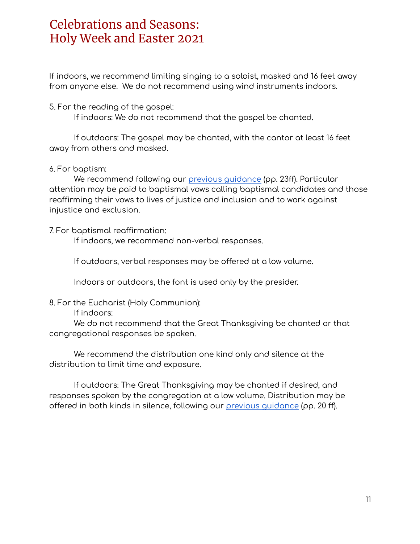If indoors, we recommend limiting singing to a soloist, masked and 16 feet away from anyone else. We do not recommend using wind instruments indoors.

5. For the reading of the gospel:

If indoors: We do not recommend that the gospel be chanted.

If outdoors: The gospel may be chanted, with the cantor at least 16 feet away from others and masked.

#### 6. For baptism:

We recommend following our previous [guidance](https://www.ministrymatters.com/files/862/Resuming%20Care-filled%20Worship%20and%20Sacramental%20Life.pdf) (pp. 23ff). Particular attention may be paid to baptismal vows calling baptismal candidates and those reaffirming their vows to lives of justice and inclusion and to work against injustice and exclusion.

#### 7. For baptismal reaffirmation:

If indoors, we recommend non-verbal responses.

If outdoors, verbal responses may be offered at a low volume.

Indoors or outdoors, the font is used only by the presider.

8. For the Eucharist (Holy Communion):

If indoors:

We do not recommend that the Great Thanksgiving be chanted or that congregational responses be spoken.

We recommend the distribution one kind only and silence at the distribution to limit time and exposure.

If outdoors: The Great Thanksgiving may be chanted if desired, and responses spoken by the congregation at a low volume. Distribution may be offered in both kinds in silence, following our previous [guidance](https://www.ministrymatters.com/files/862/Resuming%20Care-filled%20Worship%20and%20Sacramental%20Life.pdf) (pp. 20 ff).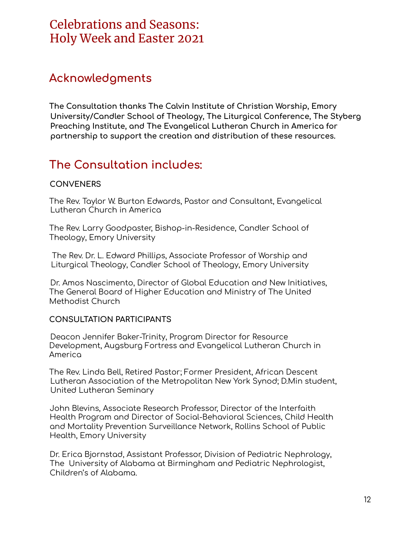#### **Acknowledgments**

**The Consultation thanks The Calvin Institute of Christian Worship, Emory University/Candler School of Theology, The Liturgical Conference, The Styberg Preaching Institute, and The Evangelical Lutheran Church in America for partnership to support the creation and distribution of these resources.**

## **The Consultation includes:**

#### **CONVENERS**

The Rev. Taylor W. Burton Edwards, Pastor and Consultant, Evangelical Lutheran Church in America

The Rev. Larry Goodpaster, Bishop-in-Residence, Candler School of Theology, Emory University

The Rev. Dr. L. Edward Phillips, Associate Professor of Worship and Liturgical Theology, Candler School of Theology, Emory University

Dr. Amos Nascimento, Director of Global Education and New Initiatives, The General Board of Higher Education and Ministry of The United Methodist Church

#### **CONSULTATION PARTICIPANTS**

Deacon Jennifer Baker-Trinity, Program Director for Resource Development, Augsburg Fortress and Evangelical Lutheran Church in America

The Rev. Linda Bell, Retired Pastor; Former President, African Descent Lutheran Association of the Metropolitan New York Synod; D.Min student, United Lutheran Seminary

John Blevins, Associate Research Professor, Director of the Interfaith Health Program and Director of Social-Behavioral Sciences, Child Health and Mortality Prevention Surveillance Network, Rollins School of Public Health, Emory University

Dr. Erica Bjornstad, Assistant Professor, Division of Pediatric Nephrology, The University of Alabama at Birmingham and Pediatric Nephrologist, Children's of Alabama.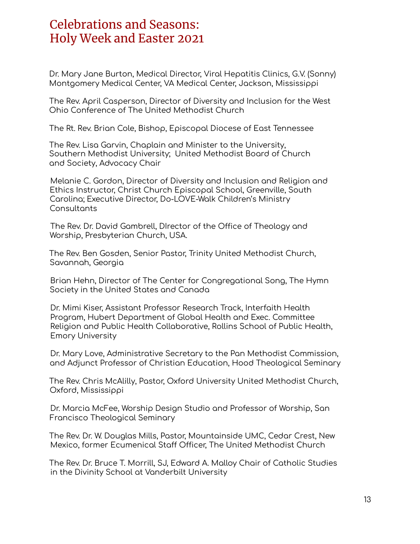Dr. Mary Jane Burton, Medical Director, Viral Hepatitis Clinics, G.V. (Sonny) Montgomery Medical Center, VA Medical Center, Jackson, Mississippi

The Rev. April Casperson, Director of Diversity and Inclusion for the West Ohio Conference of The United Methodist Church

The Rt. Rev. Brian Cole, Bishop, Episcopal Diocese of East Tennessee

The Rev. Lisa Garvin, Chaplain and Minister to the University, Southern Methodist University; United Methodist Board of Church and Society, Advocacy Chair

Melanie C. Gordon, Director of Diversity and Inclusion and Religion and Ethics Instructor, Christ Church Episcopal School, Greenville, South Carolina; Executive Director, Do-LOVE-Walk Children's Ministry **Consultants** 

The Rev. Dr. David Gambrell, DIrector of the Office of Theology and Worship, Presbyterian Church, USA.

The Rev. Ben Gosden, Senior Pastor, Trinity United Methodist Church, Savannah, Georgia

Brian Hehn, Director of The Center for Congregational Song, The Hymn Society in the United States and Canada

Dr. Mimi Kiser, Assistant Professor Research Track, Interfaith Health Program, Hubert Department of Global Health and Exec. Committee Religion and Public Health Collaborative, Rollins School of Public Health, Emory University

Dr. Mary Love, Administrative Secretary to the Pan Methodist Commission, and Adjunct Professor of Christian Education, Hood Theological Seminary

The Rev. Chris McAlilly, Pastor, Oxford University United Methodist Church, Oxford, Mississippi

Dr. Marcia McFee, Worship Design Studio and Professor of Worship, San Francisco Theological Seminary

The Rev. Dr. W. Douglas Mills, Pastor, Mountainside UMC, Cedar Crest, New Mexico, former Ecumenical Staff Officer, The United Methodist Church

The Rev. Dr. Bruce T. Morrill, SJ, Edward A. Malloy Chair of Catholic Studies in the Divinity School at Vanderbilt University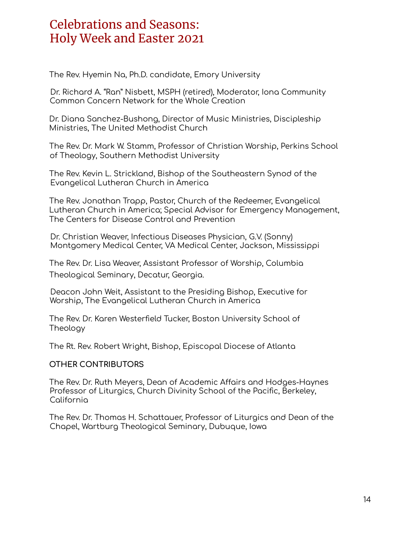The Rev. Hyemin Na, Ph.D. candidate, Emory University

Dr. Richard A. "Ran" Nisbett, MSPH (retired), Moderator, Iona Community Common Concern Network for the Whole Creation

Dr. Diana Sanchez-Bushong, Director of Music Ministries, Discipleship Ministries, The United Methodist Church

The Rev. Dr. Mark W. Stamm, Professor of Christian Worship, Perkins School of Theology, Southern Methodist University

The Rev. Kevin L. Strickland, Bishop of the Southeastern Synod of the Evangelical Lutheran Church in America

The Rev. Jonathan Trapp, Pastor, Church of the Redeemer, Evangelical Lutheran Church in America; Special Advisor for Emergency Management, The Centers for Disease Control and Prevention

Dr. Christian Weaver, Infectious Diseases Physician, G.V. (Sonny) Montgomery Medical Center, VA Medical Center, Jackson, Mississippi

The Rev. Dr. Lisa Weaver, Assistant Professor of Worship, Columbia Theological Seminary, Decatur, Georgia.

Deacon John Weit, Assistant to the Presiding Bishop, Executive for Worship, The Evangelical Lutheran Church in America

The Rev. Dr. Karen Westerfield Tucker, Boston University School of Theology

The Rt. Rev. Robert Wright, Bishop, Episcopal Diocese of Atlanta

#### **OTHER CONTRIBUTORS**

The Rev. Dr. Ruth Meyers, Dean of Academic Affairs and Hodges-Haynes Professor of Liturgics, Church Divinity School of the Pacific, Berkeley, California

The Rev. Dr. Thomas H. Schattauer, Professor of Liturgics and Dean of the Chapel, Wartburg Theological Seminary, Dubuque, Iowa